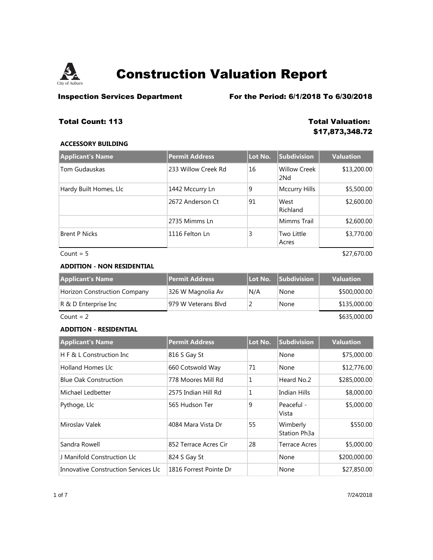

**Inspection Services Department** For the Period: 6/1/2018 To 6/30/2018

## **Total Count: 113 Total Valuation:**

# **\$17,873,348.72**

## **ACCESSORY BUILDING**

| <b>Applicant's Name</b> | <b>Permit Address</b> | Lot No. | <b>Subdivision</b>                     | <b>Valuation</b> |
|-------------------------|-----------------------|---------|----------------------------------------|------------------|
| Tom Gudauskas           | 233 Willow Creek Rd   | 16      | <b>Willow Creek</b><br>2N <sub>d</sub> | \$13,200.00      |
| Hardy Built Homes, Llc  | 1442 Mccurry Ln       | 9       | Mccurry Hills                          | \$5,500.00       |
|                         | 2672 Anderson Ct      | 91      | West<br>Richland                       | \$2,600.00       |
|                         | 2735 Mimms Ln         |         | Mimms Trail                            | \$2,600.00       |
| <b>Brent P Nicks</b>    | 1116 Felton Ln        | 3       | Two Little<br>Acres                    | \$3,770.00       |
| Count = $5$             |                       |         |                                        | \$27,670.00      |

## **ADDITION - NON RESIDENTIAL**

| <b>Applicant's Name</b>             | Permit Address      | Lot No. | <b>Subdivision</b> | <b>Valuation</b> |
|-------------------------------------|---------------------|---------|--------------------|------------------|
| <b>Horizon Construction Company</b> | 326 W Magnolia Av   | N/A     | None               | \$500,000.00     |
| $ R \& D$ Enterprise Inc            | 979 W Veterans Blyd |         | None               | \$135,000.00     |
| Count = $2$                         |                     |         |                    | \$635,000.00     |

### **ADDITION - RESIDENTIAL**

| <b>Applicant's Name</b>              | <b>Permit Address</b>  | Lot No. | <b>Subdivision</b>       | <b>Valuation</b> |
|--------------------------------------|------------------------|---------|--------------------------|------------------|
| H F & L Construction Inc.            | 816 S Gay St           |         | None                     | \$75,000.00      |
| <b>Holland Homes Llc</b>             | 660 Cotswold Way       | 71      | None                     | \$12,776.00      |
| <b>Blue Oak Construction</b>         | 778 Moores Mill Rd     | 1       | Heard No.2               | \$285,000.00     |
| Michael Ledbetter                    | 2575 Indian Hill Rd    | 1       | Indian Hills             | \$8,000.00       |
| Pythoge, Llc                         | 565 Hudson Ter         | 9       | Peaceful -<br>Vista      | \$5,000.00       |
| Miroslav Valek                       | 4084 Mara Vista Dr     | 55      | Wimberly<br>Station Ph3a | \$550.00         |
| Sandra Rowell                        | 852 Terrace Acres Cir  | 28      | <b>Terrace Acres</b>     | \$5,000.00       |
| J Manifold Construction Llc          | 824 S Gay St           |         | None                     | \$200,000.00     |
| Innovative Construction Services Llc | 1816 Forrest Pointe Dr |         | None                     | \$27,850.00      |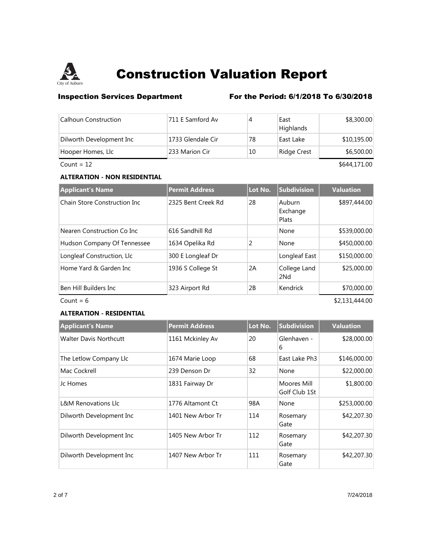

## **Inspection Services Department** For the Period: 6/1/2018 To 6/30/2018

| Calhoun Construction     | 1711 E Samford Av | 4  | East<br>Highlands | \$8,300.00  |
|--------------------------|-------------------|----|-------------------|-------------|
| Dilworth Development Inc | 1733 Glendale Cir | 78 | East Lake         | \$10,195.00 |
| Hooper Homes, Llc        | 233 Marion Cir    | 10 | Ridge Crest       | \$6,500.00  |

 $Count = 12$  \$644,171.00

## **ALTERATION - NON RESIDENTIAL**

| <b>Applicant's Name</b>       | <b>Permit Address</b> | Lot No. | <b>Subdivision</b>          | <b>Valuation</b> |
|-------------------------------|-----------------------|---------|-----------------------------|------------------|
| Chain Store Construction Inc. | 2325 Bent Creek Rd    | 28      | Auburn<br>Exchange<br>Plats | \$897,444.00     |
| Nearen Construction Co Inc.   | 616 Sandhill Rd       |         | None                        | \$539,000.00     |
| Hudson Company Of Tennessee   | 1634 Opelika Rd       | 2       | None                        | \$450,000.00     |
| Longleaf Construction, Llc    | 300 E Longleaf Dr     |         | Longleaf East               | \$150,000.00     |
| Home Yard & Garden Inc        | 1936 S College St     | 2A      | College Land<br>2Nd         | \$25,000.00      |
| Ben Hill Builders Inc         | 323 Airport Rd        | 2B      | Kendrick                    | \$70,000.00      |
| Count = $6$                   |                       |         |                             | \$2,131,444.00   |

## **ALTERATION - RESIDENTIAL**

| <b>Applicant's Name</b>        | <b>Permit Address</b> | Lot No. | Subdivision                  | <b>Valuation</b> |
|--------------------------------|-----------------------|---------|------------------------------|------------------|
| <b>Walter Davis Northcutt</b>  | 1161 Mckinley Av      | 20      | Glenhaven -<br>6             | \$28,000.00      |
| The Letlow Company Llc         | 1674 Marie Loop       | 68      | East Lake Ph3                | \$146,000.00     |
| Mac Cockrell                   | 239 Denson Dr         | 32      | None                         | \$22,000.00      |
| Jc Homes                       | 1831 Fairway Dr       |         | Moores Mill<br>Golf Club 1St | \$1,800.00       |
| <b>L&amp;M Renovations Llc</b> | 1776 Altamont Ct      | 98A     | None                         | \$253,000.00     |
| Dilworth Development Inc       | 1401 New Arbor Tr     | 114     | Rosemary<br>Gate             | \$42,207.30      |
| Dilworth Development Inc       | 1405 New Arbor Tr     | 112     | Rosemary<br>Gate             | \$42,207.30      |
| Dilworth Development Inc       | 1407 New Arbor Tr     | 111     | Rosemary<br>Gate             | \$42,207.30      |

2 of 7 7/24/2018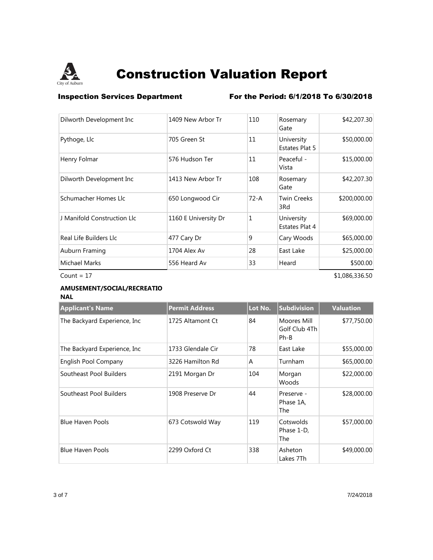

## **Inspection Services Department** For the Period: 6/1/2018 To 6/30/2018

| Dilworth Development Inc    | 1409 New Arbor Tr    | 110          | Rosemary<br>Gate             | \$42,207.30    |
|-----------------------------|----------------------|--------------|------------------------------|----------------|
| Pythoge, Llc                | 705 Green St         | 11           | University<br>Estates Plat 5 | \$50,000.00    |
| Henry Folmar                | 576 Hudson Ter       | 11           | Peaceful -<br>Vista          | \$15,000.00    |
| Dilworth Development Inc    | 1413 New Arbor Tr    | 108          | Rosemary<br>Gate             | \$42,207.30    |
| Schumacher Homes Llc        | 650 Longwood Cir     | $72 - A$     | <b>Twin Creeks</b><br>3Rd    | \$200,000.00   |
| J Manifold Construction Llc | 1160 E University Dr | $\mathbf{1}$ | University<br>Estates Plat 4 | \$69,000.00    |
| Real Life Builders Llc      | 477 Cary Dr          | 9            | Cary Woods                   | \$65,000.00    |
| Auburn Framing              | 1704 Alex Av         | 28           | East Lake                    | \$25,000.00    |
| <b>Michael Marks</b>        | 556 Heard Av         | 33           | Heard                        | \$500.00       |
| Count = $17$                |                      |              |                              | \$1,086,336.50 |

### **AMUSEMENT/SOCIAL/RECREATIO NAL**

| <b>Applicant's Name</b>       | <b>Permit Address</b> | Lot No.        | <b>Subdivision</b>                     | <b>Valuation</b> |
|-------------------------------|-----------------------|----------------|----------------------------------------|------------------|
| The Backyard Experience, Inc. | 1725 Altamont Ct      | 84             | Moores Mill<br>Golf Club 4Th<br>$Ph-B$ | \$77,750.00      |
| The Backyard Experience, Inc. | 1733 Glendale Cir     | 78             | East Lake                              | \$55,000.00      |
| English Pool Company          | 3226 Hamilton Rd      | $\overline{A}$ | Turnham                                | \$65,000.00      |
| Southeast Pool Builders       | 2191 Morgan Dr        | 104            | Morgan<br>Woods                        | \$22,000.00      |
| Southeast Pool Builders       | 1908 Preserve Dr      | 44             | Preserve -<br>Phase 1A,<br>The         | \$28,000.00      |
| <b>Blue Haven Pools</b>       | 673 Cotswold Way      | 119            | Cotswolds<br>Phase 1-D,<br>The         | \$57,000.00      |
| <b>Blue Haven Pools</b>       | 2299 Oxford Ct        | 338            | Asheton<br>Lakes 7Th                   | \$49,000.00      |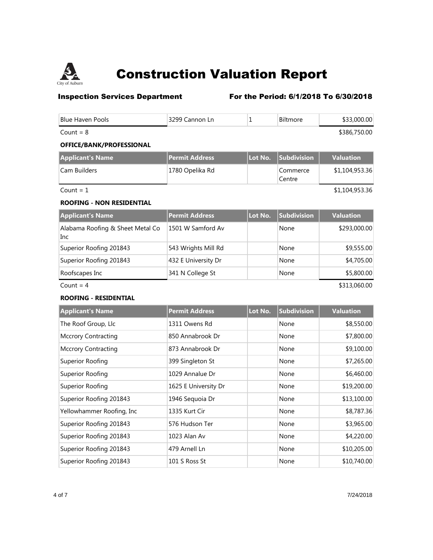

## **Inspection Services Department** For the Period: 6/1/2018 To 6/30/2018

| <b>Blue Haven Pools</b>                 | 3299 Cannon Ln        | 1       | Biltmore           | \$33,000.00      |
|-----------------------------------------|-----------------------|---------|--------------------|------------------|
| Count = $8$                             |                       |         |                    | \$386,750.00     |
| OFFICE/BANK/PROFESSIONAL                |                       |         |                    |                  |
| <b>Applicant's Name</b>                 | <b>Permit Address</b> | Lot No. | Subdivision        | <b>Valuation</b> |
| Cam Builders                            | 1780 Opelika Rd       |         | Commerce<br>Centre | \$1,104,953.36   |
| Count = $1$                             |                       |         |                    | \$1,104,953.36   |
| <b>ROOFING - NON RESIDENTIAL</b>        |                       |         |                    |                  |
| <b>Applicant's Name</b>                 | <b>Permit Address</b> | Lot No. | Subdivision        | <b>Valuation</b> |
| Alabama Roofing & Sheet Metal Co<br>Inc | 1501 W Samford Av     |         | None               | \$293,000.00     |
| Superior Roofing 201843                 | 543 Wrights Mill Rd   |         | None               | \$9,555.00       |
| Superior Roofing 201843                 | 432 E University Dr   |         | None               | \$4,705.00       |
| Roofscapes Inc                          | 341 N College St      |         | None               | \$5,800.00       |
| Count = $4$                             |                       |         |                    | \$313,060.00     |
| <b>ROOFING - RESIDENTIAL</b>            |                       |         |                    |                  |
| <b>Applicant's Name</b>                 | <b>Permit Address</b> | Lot No. | Subdivision        | <b>Valuation</b> |
| The Roof Group, Llc                     | 1311 Owens Rd         |         | None               | \$8,550.00       |
| <b>Mccrory Contracting</b>              | 850 Annabrook Dr      |         | None               | \$7,800.00       |
| <b>Mccrory Contracting</b>              | 873 Annabrook Dr      |         | None               | \$9,100.00       |
| Superior Roofing                        | 399 Singleton St      |         | None               | \$7,265.00       |
| Superior Roofing                        | 1029 Annalue Dr       |         | None               | \$6,460.00       |
| <b>Superior Roofing</b>                 | 1625 E University Dr  |         | None               | \$19,200.00      |

Superior Roofing 201843 1946 Sequoia Dr None \$13,100.00 Yellowhammer Roofing, Inc 1335 Kurt Cir None None \$8,787.36 Superior Roofing 201843 576 Hudson Ter None None \$3,965.00 Superior Roofing 201843 1023 Alan Av None None \$4,220.00 Superior Roofing 201843 479 Arnell Ln None \$10,205.00 Superior Roofing 201843 101 S Ross St None 101 S Ross St None \$10,740.00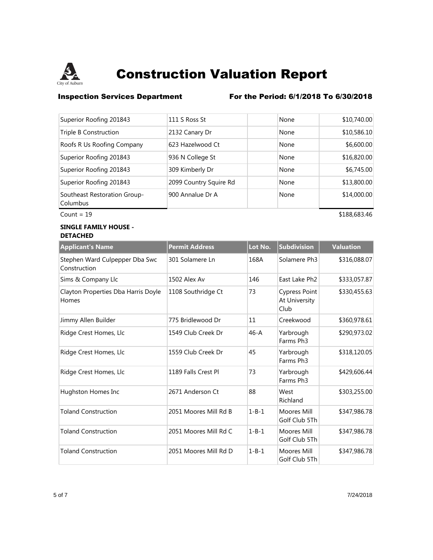

## **Inspection Services Department** For the Period: 6/1/2018 To 6/30/2018

| Superior Roofing 201843                  | 111 S Ross St          | None | \$10,740.00 |
|------------------------------------------|------------------------|------|-------------|
| Triple B Construction                    | 2132 Canary Dr         | None | \$10,586.10 |
| Roofs R Us Roofing Company               | 623 Hazelwood Ct       | None | \$6,600.00  |
| Superior Roofing 201843                  | 936 N College St       | None | \$16,820.00 |
| Superior Roofing 201843                  | 309 Kimberly Dr        | None | \$6,745.00  |
| Superior Roofing 201843                  | 2099 Country Squire Rd | None | \$13,800.00 |
| Southeast Restoration Group-<br>Columbus | 900 Annalue Dr A       | None | \$14,000.00 |

### **SINGLE FAMILY HOUSE - DETACHED**

| <b>Applicant's Name</b>                        | <b>Permit Address</b> | Lot No.     | <b>Subdivision</b>                            | <b>Valuation</b> |
|------------------------------------------------|-----------------------|-------------|-----------------------------------------------|------------------|
| Stephen Ward Culpepper Dba Swc<br>Construction | 301 Solamere Ln       | 168A        | Solamere Ph <sub>3</sub>                      | \$316,088.07     |
| Sims & Company Llc                             | 1502 Alex Av          | 146         | East Lake Ph <sub>2</sub>                     | \$333,057.87     |
| Clayton Properties Dba Harris Doyle<br>Homes   | 1108 Southridge Ct    | 73          | <b>Cypress Point</b><br>At University<br>Club | \$330,455.63     |
| Jimmy Allen Builder                            | 775 Bridlewood Dr     | 11          | Creekwood                                     | \$360,978.61     |
| Ridge Crest Homes, Llc                         | 1549 Club Creek Dr    | $46 - A$    | Yarbrough<br>Farms Ph3                        | \$290,973.02     |
| Ridge Crest Homes, Llc                         | 1559 Club Creek Dr    | 45          | Yarbrough<br>Farms Ph3                        | \$318,120.05     |
| Ridge Crest Homes, Llc                         | 1189 Falls Crest Pl   | 73          | Yarbrough<br>Farms Ph <sub>3</sub>            | \$429,606.44     |
| Hughston Homes Inc                             | 2671 Anderson Ct      | 88          | West<br>Richland                              | \$303,255.00     |
| <b>Toland Construction</b>                     | 2051 Moores Mill Rd B | $1 - B - 1$ | Moores Mill<br>Golf Club 5Th                  | \$347,986.78     |
| <b>Toland Construction</b>                     | 2051 Moores Mill Rd C | $1 - B - 1$ | Moores Mill<br>Golf Club 5Th                  | \$347,986.78     |
| <b>Toland Construction</b>                     | 2051 Moores Mill Rd D | $1 - B - 1$ | Moores Mill<br>Golf Club 5Th                  | \$347,986.78     |

Count = 19 \$188,683.46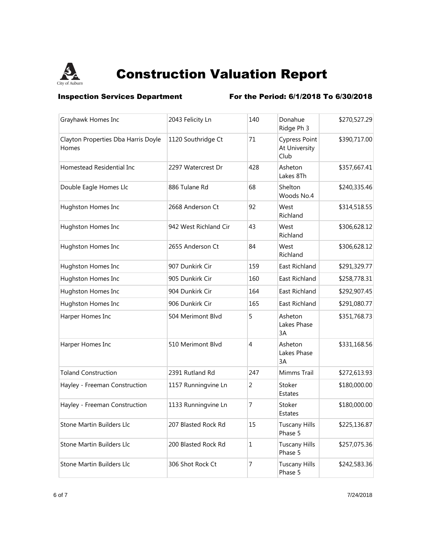

**Inspection Services Department** For the Period: 6/1/2018 To 6/30/2018

| Grayhawk Homes Inc                           | 2043 Felicity Ln      | 140          | Donahue<br>Ridge Ph 3                         | \$270,527.29 |
|----------------------------------------------|-----------------------|--------------|-----------------------------------------------|--------------|
| Clayton Properties Dba Harris Doyle<br>Homes | 1120 Southridge Ct    | 71           | <b>Cypress Point</b><br>At University<br>Club | \$390,717.00 |
| Homestead Residential Inc                    | 2297 Watercrest Dr    | 428          | Asheton<br>Lakes 8Th                          | \$357,667.41 |
| Double Eagle Homes Llc                       | 886 Tulane Rd         | 68           | Shelton<br>Woods No.4                         | \$240,335.46 |
| Hughston Homes Inc                           | 2668 Anderson Ct      | 92           | West<br>Richland                              | \$314,518.55 |
| Hughston Homes Inc                           | 942 West Richland Cir | 43           | West<br>Richland                              | \$306,628.12 |
| Hughston Homes Inc                           | 2655 Anderson Ct      | 84           | West<br>Richland                              | \$306,628.12 |
| Hughston Homes Inc                           | 907 Dunkirk Cir       | 159          | East Richland                                 | \$291,329.77 |
| Hughston Homes Inc                           | 905 Dunkirk Cir       | 160          | East Richland                                 | \$258,778.31 |
| Hughston Homes Inc                           | 904 Dunkirk Cir       | 164          | East Richland                                 | \$292,907.45 |
| Hughston Homes Inc                           | 906 Dunkirk Cir       | 165          | East Richland                                 | \$291,080.77 |
| Harper Homes Inc                             | 504 Merimont Blvd     | 5            | Asheton<br>Lakes Phase<br>3A                  | \$351,768.73 |
| Harper Homes Inc                             | 510 Merimont Blvd     | 4            | Asheton<br>Lakes Phase<br>3A                  | \$331,168.56 |
| <b>Toland Construction</b>                   | 2391 Rutland Rd       | 247          | Mimms Trail                                   | \$272,613.93 |
| Hayley - Freeman Construction                | 1157 Runningvine Ln   | 2            | Stoker<br>Estates                             | \$180,000.00 |
| Hayley - Freeman Construction                | 1133 Runningvine Ln   | 7            | Stoker<br><b>Estates</b>                      | \$180,000.00 |
| Stone Martin Builders Llc                    | 207 Blasted Rock Rd   | 15           | <b>Tuscany Hills</b><br>Phase 5               | \$225,136.87 |
| Stone Martin Builders Llc                    | 200 Blasted Rock Rd   | $\mathbf{1}$ | <b>Tuscany Hills</b><br>Phase 5               | \$257,075.36 |
| Stone Martin Builders Llc                    | 306 Shot Rock Ct      | 7            | Tuscany Hills<br>Phase 5                      | \$242,583.36 |